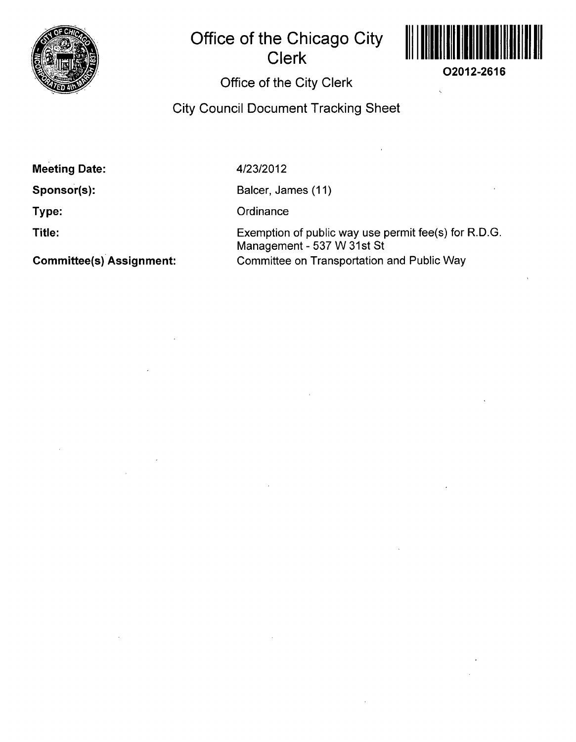

## **Office of the Chicago City Clerk**



**O2012-2616** 

## **Office of the City Clerk**

**City Council Document Tracking Sheet** 

**Meeting Date:** 

**Sponsor(s):** 

**Type:** 

**Title:** 

**Committee(s) Assignment:** 

4/23/2012

Balcer, James (11)

**Ordinance** 

Exemption of public way use permit fee(s) for R.D.G. Management - 537 W 31st St Committee on Transportation and Public Way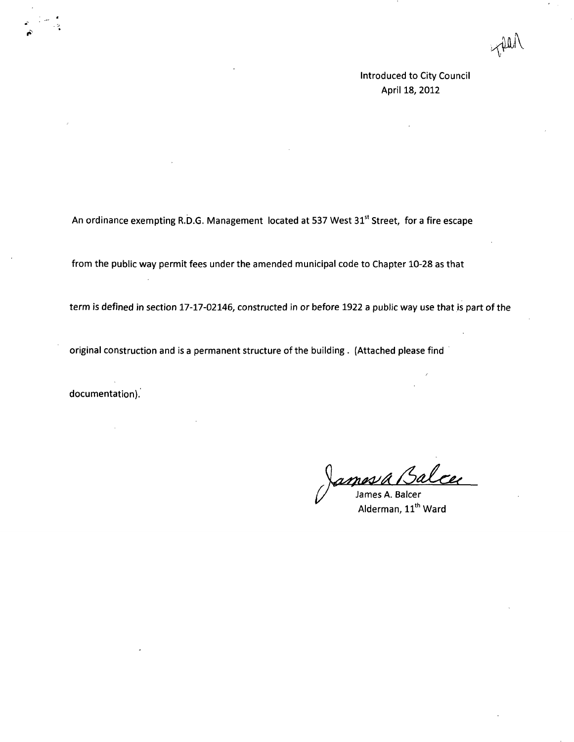JUU'

Introduced to City Council April 18, 2012

An ordinance exempting R.D.G. Management located at 537 West 31<sup>st</sup> Street, for a fire escape

from the public way permit fees under the amended municipal code to Chapter 10-28 as that

term is defined in section 17-17-02146, constructed in or before 1922 a public way use that is part of the

original construction and is a permanent structure of the building . (Attached please find

documentation).

 $\mathcal{L}$ 

n*øs* / Å James A. Balcer

Alderman, 11''' Ward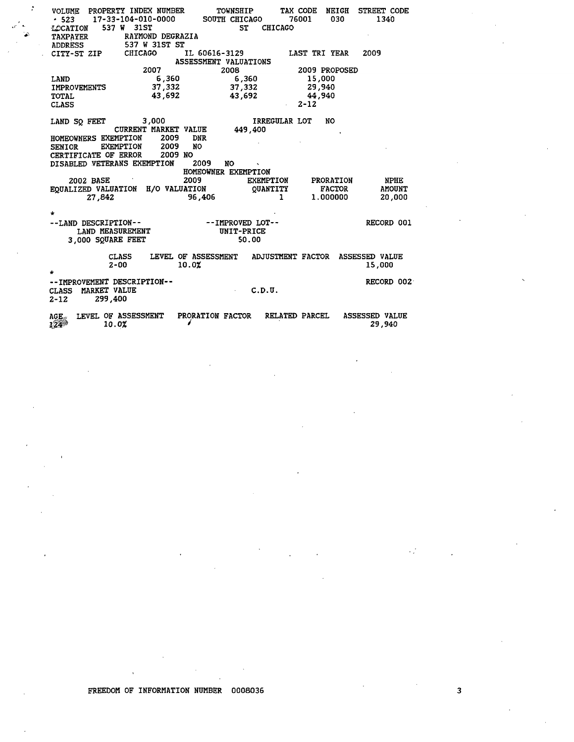| VOLUME PROPERTY INDEX NUMBER<br>$-523$ 17-33-104-010-0000<br>537 W 31ST<br>LOCATION<br>RAYMOND DEGRAZIA<br><b>TAXPAYER</b><br>537 W 31ST ST<br><b>ADDRESS</b> | TOWNSHIP<br>SOUTH CHICAGO<br><b>ST</b> | TAX CODE<br><b>NEIGH</b><br>76001<br>030<br><b>CHICAGO</b> | STREET CODE<br>1340             |  |  |  |  |  |  |  |
|---------------------------------------------------------------------------------------------------------------------------------------------------------------|----------------------------------------|------------------------------------------------------------|---------------------------------|--|--|--|--|--|--|--|
| <b>CHICAGO</b><br>CITY-ST ZIP                                                                                                                                 | IL 60616-3129                          | <b>LAST TRI YEAR</b>                                       | 2009                            |  |  |  |  |  |  |  |
| ASSESSMENT VALUATIONS                                                                                                                                         |                                        |                                                            |                                 |  |  |  |  |  |  |  |
| 2007                                                                                                                                                          | 2008                                   | 2009 PROPOSED                                              |                                 |  |  |  |  |  |  |  |
| 6,360<br>LAND                                                                                                                                                 | 6,360                                  | 15,000                                                     |                                 |  |  |  |  |  |  |  |
| 37,332<br><b>IMPROVEMENTS</b>                                                                                                                                 | 37,332                                 | 29,940                                                     |                                 |  |  |  |  |  |  |  |
| 43,692<br><b>TOTAL</b>                                                                                                                                        | 43,692                                 | 44,940                                                     |                                 |  |  |  |  |  |  |  |
| <b>CLASS</b>                                                                                                                                                  |                                        | $2 - 12$                                                   |                                 |  |  |  |  |  |  |  |
| 3,000<br>LAND SO FEET<br><b>CURRENT MARKET VALUE</b><br>HOMEOWNERS EXEMPTION<br>2009<br>2009<br><b>EXEMPTION</b><br><b>SENIOR</b>                             | 449,400<br><b>DNR</b><br><b>NO</b>     | <b>IRREGULAR LOT</b><br><b>NO</b>                          |                                 |  |  |  |  |  |  |  |
| 2009 NO<br>CERTIFICATE OF ERROR<br>DISABLED VETERANS EXEMPTION                                                                                                | 2009<br>NO<br>HOMEOWNER EXEMPTION      |                                                            |                                 |  |  |  |  |  |  |  |
| 2002 BASE                                                                                                                                                     | 2009<br>EXEMPTION                      | <b>PRORATION</b>                                           | <b>NPHE</b>                     |  |  |  |  |  |  |  |
| EQUALIZED VALUATION H/O VALUATION                                                                                                                             | <b>QUANTITY</b>                        | <b>FACTOR</b>                                              | <b>AMOUNT</b>                   |  |  |  |  |  |  |  |
| 27,842                                                                                                                                                        | 96,406                                 | 1<br>1.000000                                              | 20,000                          |  |  |  |  |  |  |  |
|                                                                                                                                                               |                                        |                                                            |                                 |  |  |  |  |  |  |  |
|                                                                                                                                                               |                                        |                                                            |                                 |  |  |  |  |  |  |  |
| --LAND DESCRIPTION--<br>DESCRIPTION--<br>LAND MEASUREMENT<br>AND MEASUREMENT                                                                                  | --IMPROVED LOT--                       |                                                            | RECORD 001                      |  |  |  |  |  |  |  |
|                                                                                                                                                               | UNIT-PRICE                             |                                                            |                                 |  |  |  |  |  |  |  |
| 3,000 SQUARE FEET                                                                                                                                             | 50.00                                  |                                                            |                                 |  |  |  |  |  |  |  |
| <b>CLASS</b><br>$2 - 00$                                                                                                                                      | LEVEL OF ASSESSMENT<br>10.0%           | <b>ADJUSTMENT FACTOR</b>                                   | <b>ASSESSED VALUE</b><br>15,000 |  |  |  |  |  |  |  |
| -- IMPROVEMENT DESCRIPTION--<br>MARKET VALUE<br><b>CLASS</b><br>299,400<br>$2 - 12$                                                                           | C.D.U.<br>$\sim$                       |                                                            | RECORD 002                      |  |  |  |  |  |  |  |
| LEVEL OF ASSESSMENT<br>$AGE_{\text{av}}$<br>10.0%<br>$124^{3}$                                                                                                | PRORATION FACTOR                       | <b>RELATED PARCEL</b>                                      | <b>ASSESSED VALUE</b><br>29,940 |  |  |  |  |  |  |  |

 $\cdot$ 

 $\bar{\phantom{a}}$ 

 $\sim$ 

 $\lambda$ 

 $\overline{\mathbf{3}}$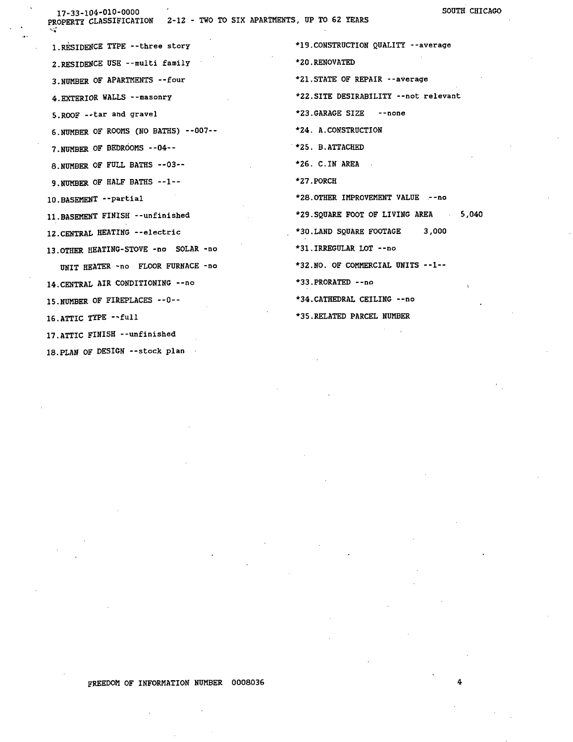17-33-104-010-0000

PROPERTY CLASSIFICATION 2-12 - TWO TO SIX APARTMENTS, UP TO 62 YEARS

1. RESIDENCE TYPE -- three story 2. RESIDENCE USE -- multi family 3. NUMBER OF APARTMENTS -- four 4. EXTERIOR WALLS -- masonry 5. ROOF -- tar and gravel 6. NUMBER OF ROOMS (NO BATHS) --007--7. NUMBER OF BEDROOMS -- 04--8. NUMBER OF FULL BATHS --03--9. NUMBER OF HALF BATHS --1--10. BASEMENT -- partial 11. BASEMENT FINISH --unfinished 12. CENTRAL HEATING --electric 13. OTHER HEATING-STOVE -no SOLAR -no UNIT HEATER -no FLOOR FURNACE -no 14. CENTRAL AIR CONDITIONING -- no 15. NUMBER OF FIREPLACES -- 0--16. ATTIC TYPE -- full 17. ATTIC FINISH --unfinished

18. PLAN OF DESIGN -- stock plan

\*19. CONSTRUCTION QUALITY --average \*20.RENOVATED \*21. STATE OF REPAIR --average \*22.SITE DESIRABILITY --not relevant \*23.GARAGE SIZE -- none \*24. A. CONSTRUCTION \*25. B. ATTACHED \*26. C.IN AREA \*27.PORCH \*28. OTHER IMPROVEMENT VALUE -- no \*29. SQUARE FOOT OF LIVING AREA  $5,040$ \*30.LAND SQUARE FOOTAGE 3,000 \*31.IRREGULAR LOT --no \*32. NO. OF COMMERCIAL UNITS --1--\*33.PRORATED -- no \*34. CATHEDRAL CEILING -- no \*35. RELATED PARCEL NUMBER

FREEDOM OF INFORMATION NUMBER 0008036